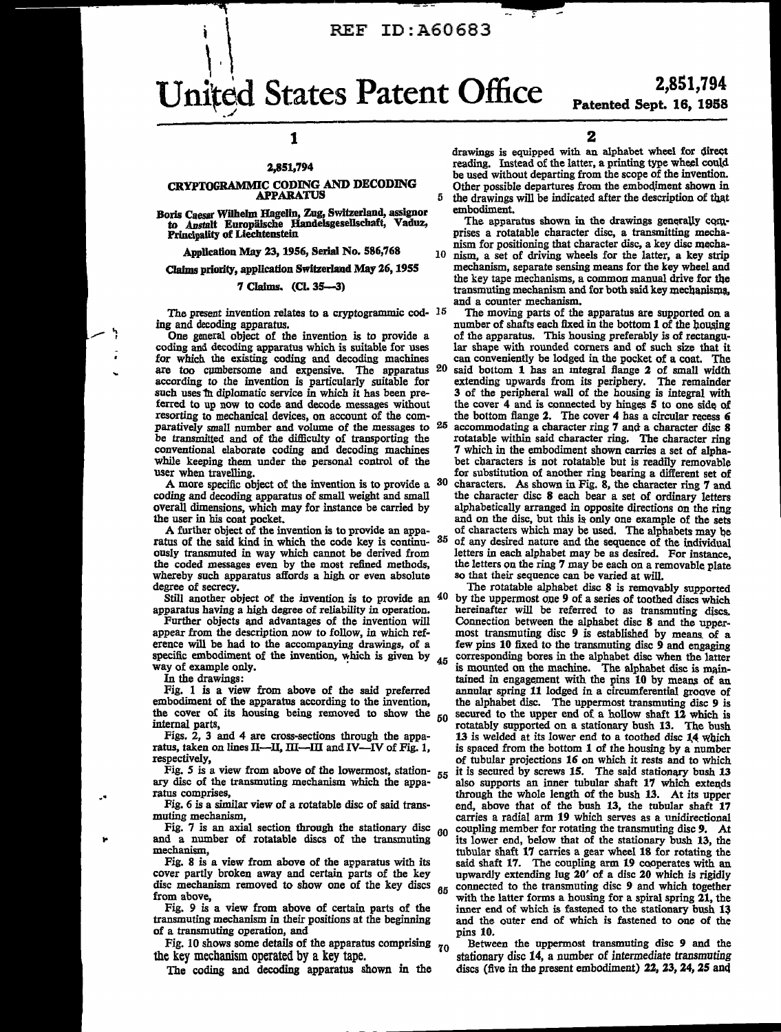### REF ID: A60683

# United States Patent Office j

### 1

#### 2,851,794

#### CRYPTOGRAMMIC CODING AND DECODING APPARATUS

Boris Caesar Wilhelm Hagelin, Zug, Switzerland, assignor to Anstalt Europäische Handelsgesellschaft, Vaduz, Principality of Liechtenstein

Application May 23, 1956, Serial No. 586,768

Claims priority, application Switzerland May 26, 1955

#### 7 Claims. (CL 35--3)

The present invention relates to a cryptogrammic cod-  $15$ ing and decoding apparatus.<br>One general object of the invention is to provide a

coding and decoding apparatus which is suitable for uses for which the existing coding and decoding machines are too cumbersome and expensive. The apparatus according to the invention is particularly suitable for such uses in diplomatic service in which it has been preferred to up now to code and decode messages without resorting to mechanical devices, on account of the comparatively small number and volume of the messages to  $25$ be transmitted and of the difficulty of transporting the conventional elaborate coding and decoding machines while keeping them under the personal control of the

user when travelling.<br>A more specific object of the invention is to provide a  $30$ coding and decoding apparatus of small weight and small overall dimensions, which may for instance be carried by the user in his coat pocket.

A further object of the invention is to provide an apparatus of the said kind in which the code key is continuously transmuted in way which cannot be derived from the coded messages even by the most refined methods, whereby such apparatus affords a high or even absolute

degree of secrecy.<br>Still another object of the invention is to provide an <sup>40</sup> apparatus having a high degree of reliability in operation.

Further objects and advantages of the invention will appear from the description now to follow, in which ref-<br>erence will be had to the accompanying drawings, of a specific embodiment of the invention, which is given by way of example only.

In the drawings:

Fig. 1 is a view from above of the said preferred embodiment of the apparatus according to the invention, the cover of its housing being removed to show the internal parts,

Figs. 2, 3 and 4 are cross-sections through the apparatus, taken on lines II-II, III-III and IV-IV of Fig. 1, respectively,

Fig. 5 is a view from above of the lowermost, station- 55 ary disc of the transmuting mechanism which the apparatus comprises,

Fig. 6 *is* a similar view of a rotatable disc of said transmuting mechanism,

Fig. 7 is an axial section through the stationary disc  $_{00}$ and a number of rotatable discs of the transmuting

mechanism,<br>Fig. 8 is a view from above of the apparatus with its cover partly broken away and certain parts of the key disc mechanism removed to show one of the key discs from above,

Fig. 9 is a view from above of certain parts of the transmuting mechanism in their positions at the beginning of a transmuting operation, and

Fig. 10 shows some details of the apparatus comprising  $_{70}$ the key mechanism operated by a key tape.

The coding and decoding apparatus shown in the

2

drawings is equipped with an alphabet wheel for direct reading. Instead of the latter, a printing type wheel could be used without departing from the scope of the invention. Other possible departures from the embodiment shown in 5 the drawings will be indicated after the description of that embodiment.

The apparatus shown in the drawings generally comprises a rotatable character disc, a transmitting mechanism for positioning that character disc, a key disc mecha-10 nism, a set of driving wheels for the latter, a key strip mechanism, separate sensing means for the key wheel and the key tape mechanisms, a common manual drive for the  $transmutine$  mechanism and for both said key mechanisms. and a counter mechanism.

The moving parts of the apparatus are supported on a number of shafts each fixed in the bottom  $1$  of the housing of the apparatus. This housing preferably *is* of rectangucan conveniently be lodged in the pocket of a coat. The said bottom 1 has an integral flange 2 of small width extending upwards from its periphery. The remainder 3 of the peripheral wall of the housing is integral with the cover 4 and is connected by hinges 5 to one side of the bottom flange 2. The cover 4 has a circular recess 6  $25$  accommodating a character ring 7 and a character disc 8 rotatable within said character ring. The character ring 7 which in the embodiment shown carries a set of alphabet characters is not rotatable but is readily removable for substitution of another ring bearing a different set of characters. As shown in Fig. 8, the character ring  $7$  and the character disc 8 each bear a set of ordinary letters alphabetically arranged in opposite directions on the ring and on the disc, but this is only one example of the sets of characters which may be used. The alphabets may be of any desired nature and the sequence of the individual letters in each alphabet may be as desired. For instance,

the letters on the ring 7 may be each on a removable plate so that their sequence can be varied at will. The rotatable alphabet disc 8 is removably supported by the uppermost one 9 of a series of toothed discs which hereinafter will be referred to as transmuting discs. Connection between the alphabet disc 8 and the uppermost transmuting disc 9 is established by means of a few pins 10 fixed to the transmuting disc 9 and engaging  $45$  corresponding bores in the alphabet disc when the latter is mounted on the machine. The alphabet disc is maintained in engagement with the pins 10 by means of an annular spring 11 lodged in a circumferential groove of the alphabet disc. The uppermost transmuting disc 9 is  $50$  secured to the upper end of a hollow shaft 12 which is rotatably supported on a stationary bush 13. The bush 13 is welded at its lower end to a toothed disc 14 which is spaced from the bottom 1 of the housing by a number of tubular projections 16 on which it rests and to which it is secured by screws 15. The said stationary bush 13 also supports an inner tubular shaft 17 which extends through the whole length of the bush 13. At *its* upper end, above that of the bush 13, the tubular shaft 17 carries a radial arm 19 which serves as a unidirectional coupling member for rotating the transmuting disc 9. At its lower end, below that of the stationary bush 13, the tubular shaft 17 carries a gear wheel 18 for rotating the said shaft 17. The coupling arm 19 cooperates with an upwardly extending lug 20' of a disc 20 which is rigidly connected to the transmuting disc 9 and which together with the latter forms a housing for a spiral spring  $21$ , the inner end of which is fastened to the stationary bush  $13$ and the outer end of which *is* fastened to one of the pins 10.

Between the uppermost transmuting disc 9 and the stationary disc 14, a number of intermediate transmuting discs (five in the present embodiment)  $22$ ,  $23$ ,  $24$ ,  $25$  and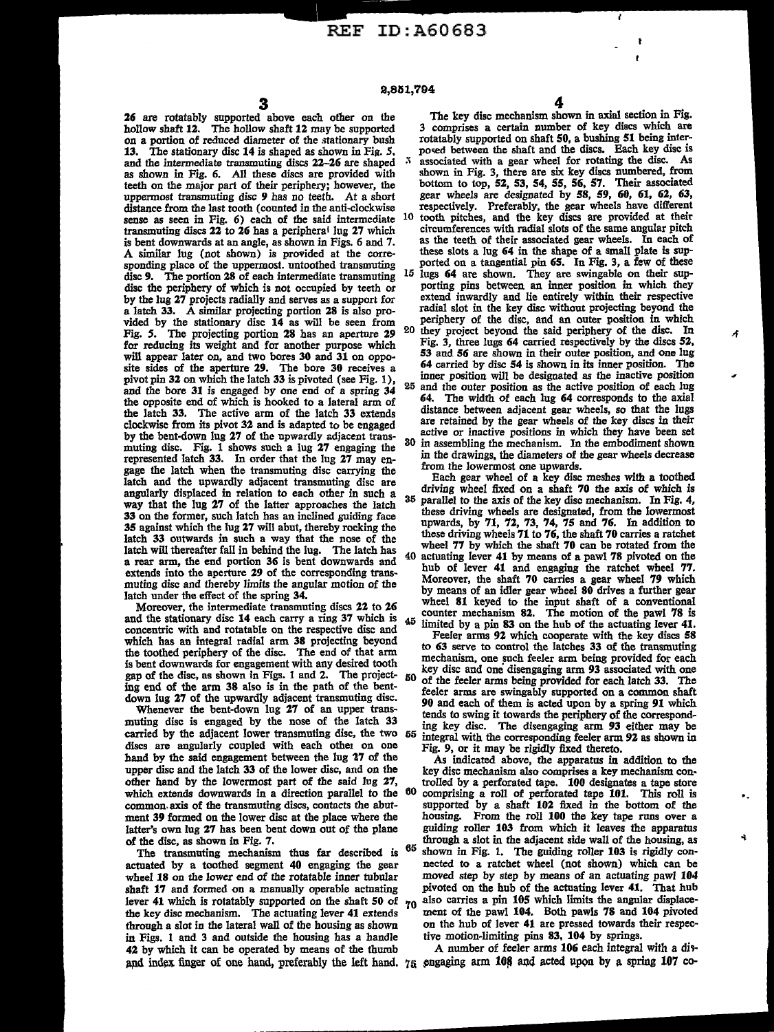distance from the last tooth (counted in the anti-clockwise respectively. Preferably, the gear wheels have different<br>sense as seen in Fig. 6) each of the said intermediate <sup>10</sup> tooth pitches, and the key discs are provided is bent downwards at an angle, as shown in Figs. 6 and 7. sponding place of the uppermost. untoothed transmuting ported on a tangential pin **65.** In Fig. 3, a few of these<br>disc 9. The portion 28 of each intermediate transmuting 15 lugs 64 are shown. They are swingable on their su disc 9. The portion 28 of each intermediate transmuting  $15$  lugs 64 are shown. They are swingable on their sup-<br>disc the periphery of which is not occupied by teeth or porting pins between an inner position in which they Fig. 5. The projecting portion 28 has an aperture 29 <sup>20</sup> they project beyond the said periphery of the disc. In<br>for reducing its weight and for another purpose which Fig. 3, three lugs 64 carried respectively by the discs for reducing its weight and for another purpose which pivot pin 32 on which the latch 33 is pivoted (see Fig. 1),  $_{25}$ and the bore 31 is engaged by one end of a spring 34 <sup>25</sup> and the outer position as the active position of each lug clockwise from its pivot 32 and is adapted to be engaged by the bent-down lug 27 of the upwardly adjacent trans-<br>by the bent-down lug 27 of the upwardly adjacent trans-<br>muting disc. Fig. 1 shows such a lug 27 engaging the 30 in assembling the mechanism. In the embodiment shown represented latch 33. In order that the lug 27 may en-<br>  $\frac{1}{27}$  may en-<br>  $\frac{1}{27}$  from the lowermost one upwards. gage the latch when the transmuting disc carrying the from the lowermost one upwards.<br>Jatch and the unwardly adjacent transmuting disc are from the gear wheel of a key disc meshes with a toothed 33 on the former, such latch has an inclined guiding face latch 33 outwards in such a way that the nose of the<br>latch as wheel 77 by which the shaft 70 can be rotated from the<br>latch will thereafter fall in behind the lug. The latch has<br>a rear arm, the end portion 36 is bent downwa extends into the aperture 29 of the corresponding trans-

and the stationary disc 14 each carry a ring 37 which is  $_{45}$ and the stationary cuse 14 each carry a ring 31 which is  $\frac{45}{4}$  limited by a pin 83 on the hub of the actuating lever 41.<br>concentric with and rotatable on the respective disc and<br>which has no integral redial arm 38 pr

discs are angularly coupled with each other on one hand by the said engagement between the lug 27 of the which extends downwards in a direction parallel to the  $60$  common axis of the transmuting discs, contacts the abut-

through a slot in the lateral wall of the housing as shown on the hub of lever 41 are pressed towards the final state in Figs. 1 and 3 and outside the housing has a handle tive motion-limiting pins 83, 104 by springs. in Figs. 1 and 3 and outside the housing has a handle tive motion-limiting pins 83, 104 by springs.<br>42 by which it can be operated by means of the thumb A number of feeler arms 106 each integral with a dis-42 by which it can be operated by means of the thumb and index finger of one hand, preferably the left hand.  $75$  engaging arm 108 and acted upon by a spring 107 co-

The key disc mechanism shown in axial section in Fig. 26 are rotatably supported above each other on the The key disc mechanism shown in axial section in Fig. on a portion of reduced diameter of the stationary bush rotatably supported on shaft 50, a bushing 51 being inter-13. The stationary disc 14 is shaped as shown in Fig. 5, posed between the shaft and the discs. Each key disc is and the intermediate transmuting discs 22-26 are shaped <sup>5</sup> associated with a gear wheel for rotating the dis and the intermediate transmuting discs 22-26 are shaped  $\frac{3}{1}$  associated with a gear wheel for rotating the disc. As as shown in Fig. 3, there are six key discs numbered, from teeth on the major part of their periphery; however, the bottom to top, 52, 53, 54, 55, 56, 57. Their associated uppermost transmuting disc 9 has no teeth. At a short gear wheels are designated by 58, *59,* 60, 61, 62, *63,* 

- transmuting discs 22 to 26 has a peripheral lug 27 which circumferences with radial slots of the same angular pitch<br>is bent downwards at an angle, as shown in Figs. 6 and 7. as the teeth of their associated gear wheels. I A similar lug (not shown) is provided at the corre- these slots a lug *64* in the shape of a small plate is sup-
- disc the periphery of which is not occupied by teeth or porting pins between an inner position in which they by the lug 27 projects radially and serves as a support for extend inwardly and lie entirely within their respect a latch 33. A similar projecting portion 28 is also pro-<br>vided by the stationary disc 14 as will be seen from periphery of the disc, and an outer position in which vided by the stationary disc 14 as will be seen from periphery of the disc, and an outer position in which<br>Fig. 5. The projecting portion 28 has an aperture 29, 20 they project beyond the said periphery of the disc. In
- will appear later on, and two bores 30 and 31 on oppo-<br>site sides of the aperture 29. The bore 30 arecives and 4 carried by disc 54 is shown in its inner position. The site sides of the aperture 29. The bore 30 receives a *64* carried by disc *54* is shown in its inner position. The
- the opposite end of which is hooked to a lateral arm of **64.** The width of each lug **64** corresponds to the axial<br>the latch 33. The active arm of the latch 33 are all arm of the latch 33. The active arm of the latch 33 the latch 33. The active arm of the latch 33 extends distance between adjacent gear wheels, so that the lugs<br>clockwise from its pixet 33 and is educted to be approach are retained by the gear wheels of the key discs in the
- muting disc. Fig. 1 shows such a lug 27 engaging the <sup>30</sup> in assembling the mechanism. In the embodiment shown

latch and the upwardly adjacent transmuting disc are each gear wheel of a key disc meshes with a toothed<br>complexive disclosed in relation to each other in such a driving wheel fixed on a shaft 70 the axis of which is angularly displaced in relation to each other in such a driving wheel fixed on a shaft 70 the axis of which is<br>such that the line 27 of the letter opproaches the lately 35 parallel to the axis of the key disc mechanism. I way that the lug 27 of the latter approaches the latch  $\frac{35}{2}$  parallel to the axis of the key disc mechanism. In Fig. 4, the former such latch has an inclined miding face these driving wheels are designated, from the 35 against which the lug 27 will abut, thereby rocking the upwards, by 71, 72, 73, 74, 75 and 76. In addition to latch 33 outwards in such a way that the nose of the these driving wheels 71 to 76, the shaft 70 carries a ratchet

extends into the aperture 25 of the corresponding trans-<br>muting disc and thereby limits the angular motion of the Moreover, the shaft 70 carries a gear wheel 79 which latch under the effect of the spring 34. by means of an idler gear wheel 80 drives a further gear<br>Meanwhite spring 34. by means of an idler gear wheel 80 drives a further gear<br>Meanwhite discs 22. to 26 wheel 81 keyed to th Moreover, the intermediate transmuting discs 22 to 26 where  $\sigma_1$  keyed to the input shaft of a conventional  $\sigma_1$  and  $\sigma_2$  is counter mechanism 82. The motion of the pawl 78 is

which has an integral radial arm 38 projecting beyond Feeler arms 92 which cooperate with the key discs 58 the toothed periphery of the disc. The end of that arm to 63 serve to control the latches 33 of the transmuting the toothed periphery of the disc. The end of that arm<br>is bent downwards for each mechanism, one such feeler arm being provided for each<br>sex of the disc and one disengaging arm 93 associated with one gap of the disc, as shown in Figs. 1 and 2. The project-  $50\degree$  of the feeler arms being provided for each latch 33. The ing end of the arm 38 also is in the path of the bent-<br>down lug 27 of the upwardly adjacent transmuting disc.<br>do and seeler arms are swingably supported on a common shaft Whenever the bent-down lug 27 of the upwardly adjacent transmuting upon  $\frac{90}{27}$  and each of them is acted upon by a spring 91 which  $\frac{1}{27}$  of an upper trans-<br>whenever the bent-down lug 27 of an upper transmuting disc is engaged by the nose of the latch  $33$  tends to swing it towards the periphery of the correspond-<br>carried by the adjacent lower transmuting disc, the two  $55$  integral with the corresponding feeler arm 93 ei integral with the corresponding feeler arm 92 as shown in Fig. 9, or it may be rigidly fixed thereto.

hand by the said engagement between the lug 27 of the As indicated above, the apparatus in addition to the upper disc and the latch 33 of the lower disc, and on the key disc mechanism also comprises a key mechanism conupper disc and the latch 33 of the lower disc, and on the key disc mechanism also comprises a key mechanism con-<br>other hand by the lowermost part of the said lug 27, trolled by a perforated tape. 100 designates a tape sto supported by a shaft  $102$  fixed in the bottom of the housing. From the roll 100 the key tape runs over a ment 39 formed on the lower disc at the place where the housing. From the roll 100 the key tape runs over a latter's own lug 27 has been bent down out of the plane guiding roller 103 from which it leaves the apparatus latter's own lug 27 has been bent down out of the plane guiding roller 103 from which it leaves the apparatus of the disc. as shown in Fig. 7. of the disc, as shown in Fig. 7.<br>The transmuting mechanism thus far described is <sup>65</sup> shown in Fig. 1. The guiding roller 103 is rigidly conactuated by a toothed segment 40 engaging the gear are nected to a ratchet wheel (not shown) which can be wheel 18 on the lower end of the rotatable inner tubular moved step by step by means of an actuating pawl 104 wheel 18 on the lower end of the rotatable inner tubular moved step by step by means of an actuating pawl 104<br>shaft 17 and formed on a manually operable actuating pivoted on the hub of the actuating lever 41. That hub shaft 17 and formed on a manually operable actuating pivoted on the hub of the actuating lever 41. That hub<br>lever 41 which is rotatably supported on the shaft 50 of  $\tau_0$  also carries a pin 105 which limits the angular d lever 41 which is rotatably supported on the shaft 50 of  $\frac{1}{20}$  also carries a pin 105 which limits the angular displace-<br>the key disc mechanism. The actuating lever 41 extends ment of the pawl 104. Both pawls 78 and the key disc mechanism. The actuating lever 41 extends ment of the pawl 104. Both pawls 78 and 104 pivoted<br>through a slot in the lateral wall of the housing as shown on the hub of lever 41 are pressed towards their respec-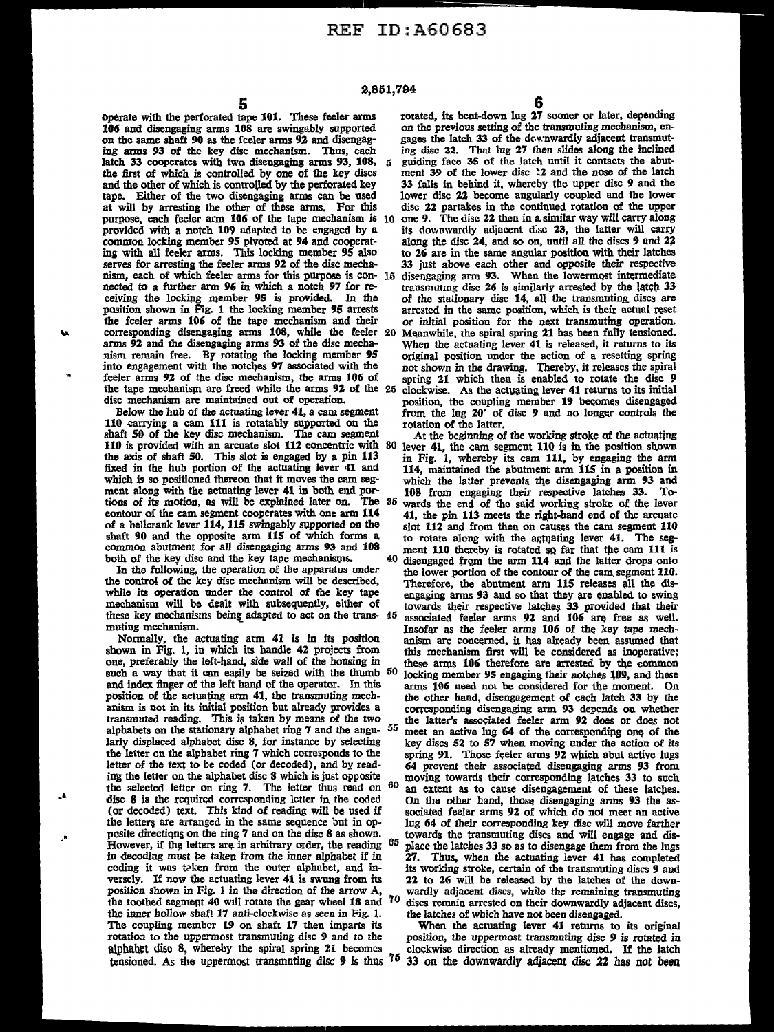operate with the perforated tape 101. These feeler arms rotated, its bent-down lug 27 sooner or later, depending 106 and disengaging arms 108 are swingably supported on the previous setting of the transmuting mechanism, en on the same shaft 90 as the fceler arms 92 and disengag-<br>ing arms 92 and disengag-<br>ing arms 93 of the key disc mechanism. Thus, each<br>ing disc 22. That lug 27 then slides along the inclined latch 33 cooperates with two disengaging arms 93, 108, 5 guiding face 35 of the latch until it contacts the abut-<br>the first of which is controlled by one of the key discs ment 39 of the lower disc 12 and the nose of the la the first of which is controlled by one of the key discs ment 39 of the lower disc !2 and the nose of the latch and the other of which is controlled by the perforated key 33 falls in behind it, whereby the upper disc 9 and the tape. Either of the two disengaging arms can be used lower disc 22 become angularly coupled and the lower at will by arresting the other of these arms. For this disc 22 partakes in the continued rotation of the upper at will by arresting the other of these arms. For this disc 22 partakes in the continued rotation of the upper purpose, each feeler arm 106 of the tape mechanism is IO one 9. The disc 22 then in a similar way will carry along provided with a notch 109 adapted to be engaged by a its downwardly adjacent disc 23, the latter will carry common locking member 95 pivoted at 94 and cooperat-<br>common locking member 95 pivoted at 94 and cooperat-<br>along th common locking member 95 pivoted at 94 and cooperat-<br>ing with all feeler arms. This locking member 95 also to 26 are in the same angular position with their latches serves for arresting the feeler arms 92 of the disc mecha-<br>nism, each of which feeler arms for this purpose is con- 15 disengaging arm 93. When the lowermost intermediate nism, each of which feeler arms for this purpose is con-  $15$  nected to a further arm  $96$  in which a notch  $97$  for reposition shown in Fig. 1 the locking member 95 arrowided. In the of the stationary disc 14, all the transmuting discs are position, shown in Fig. 1 the locking member 95 arrests arrested in the same position, which is thei .... the feeler 20 Meanwhile, the spiral spring 21 has been fully tensioned.<br>arms 92 and the disengaging arms 93 of the disc mecha-<br>When the actuating lever 41 is released, it returns to its arms 92 and the disengaging arms 93 of the disc mechanism remain free. By rotating the locking member 95 nism remain free. By rotating the locking member 95 original position under the action of a resetting spring into engagement with the notches 97 associated with the not shown in the drawing. Thereby, it releases the spiral into engagement with the notches 97 associated with the not shown in the drawing. Thereby, it releases the spiral feeler arms 92 of the disc mechanism, the arms  $106$  of spring 21 which then is enabled to rotate the disc feeler arms 92 of the disc mechanism, the arms 106 of spring 21 which then is enabled to rotate the disc 9 the tape mechanism are freed while the arms 92 of the 25 clockwise. As the actuating lever 41 returns to its initia the tape mechanism are freed while the arms 92 of the 25 clockwise. As the actuating lever 41 returns to its initial<br>disc mechanism are maintained out of operation.<br>nosition, the coupling member 19 becomes disengaged

110 carrying a cam 111 is rotatably supported on the rotation of the latter. shaft 50 of the key disc mechanism. The cam segment At the beginning of the working stroke of the actuating the axis of shaft 50. This slot is engaged by a pin 113 in Fig. 1, whereby its cam 111, by engaging the arm fixed in the hub portion of the actuating lever 41 and 114, maintained the abutment arm 115 in a position in whic ment along with the actuating lever 41 in both end por-<br>tions of its motion, as will be explained later on. The 35 wards the end of the said working stroke of the lever tions of its motion, as will be explained later on. The 35 wards the end of the said working stroke of the lever<br>contour of the cam segment cooperates with one arm 114 at the pin 113 meets the right-hand end of the arcuate

such a way that it can easily be seized with the thumb 50 and index finger of the left hand of the operator. In this the selected letter on ring 7. The letter thus read on disc  $8$  is the required corresponding letter in the coded versely. If now the actuating lever 41 is swung from its position shown in Fig. 1 in the direction of the arrow  $A$ , the toothed segment 40 will rotate the gear wheel 18 and  $\frac{70}{100}$  discs remain arrested on their downwardly adjust the inner hollow shaft 17 anti-clockwise as seen in Fig. 1. the latches of which have not been disenga the inner hollow shaft 17 anti-clockwise as seen in Fig. 1. The coupling member 19 on shaft 17 then imparts its The coupling member 19 on shaft 17 then imparts its When the actuating lever 41 returns to its original rotation to the uppermost transmuting disc 9 and to the position, the uppermost transmuting disc 9 is rotated in tensioned. As the uppermost transmuting disc 9 is thus <sup>75</sup>

...

-·

5 6<br>tape 101. These feeler arms rotated, its bent-down lug 27 sooner or later, depending ing disc 22. That lug 27 then slides along the inclined<br>5 guiding face 35 of the latch until it contacts the abuttransmuting disc 26 is similarly arrested by the latch 33 of the stationary disc 14, all the transmuting discs are arrested in the same position, which is their actual reset sc mechanism are maintained out of operation. position, the coupling member 19 becomes disengaged Below the hub of the actuating lever 41, a cam segment from the lug  $20'$  of disc 9 and no longer controls the Below the hub of the actuating lever 41, a cam segment from the lug 20' of disc 9 and no longer controls the

110 is provided with an arcuate slot 112 concentric with  $30$  lever 41, the cam segment 110 is in the position shown which is so positioned thereon that it moves the cam seg-<br>ment along with the actuating lever 41 in both end por-<br> $108$  from engaging their respective latches 33. Toeontour of the cam segment cooperates with one arm 114 41, the pin 113 meets the right-hand end of the arcuate<br>of a belicrank lever 114, 115 swingably supported on the slot 112 and from then on causes the cam segment 110 of a bellcrank lever 114, 115 swingably supported on the slot 112 and from then on causes the cam segment 110 shaft 90 and the opposite arm 115 of which forms a to rotate along with the actuating lever 41. The segcommon abutment for all disengaging arms 93 and  $108$  ment 110 thereby is rotated so far that the cam 111 is both of the key disc and the key tape mechanisms. 40 disengaged from the arm 114 and the latter drops onto both of the key disc and the key tape mechanisms. 40 disengaged from the arm 114 and the latter drops onto In the following, the operation of the apparatus under the lower nortion of the contour of the cam segment 110 In the following, the operation of the apparatus under<br>the lower portion of the control of the came. The control of the key disc mechanism will be described,<br>the abutment arm 115 releases all the disthe control of the key disc mechanism will be described, Therefore, the abutment arm 115 releases all the dis-<br>while its operation under the control of the key tape angaging arms 93 and so that they are enabled to swing while its operation under the control of the key tape engaging arms 93 and so that they are enabled to swing mechanism will be dealt with subsequently, either of towards their respective latches 33 provided that their mechanism will be dealt with subsequently, either of towards their respective latches 33 provided that their these key mechanisms being adapted to act on the trans- 45 associated feeler arms 92 and 106 are free as well. muting mechanism.<br>Normally, the actuating arm 41 is in its position anism are concerned, it has already been assumed that Normally, the actuating arm 41 is in its position anism are concerned, it has already been assumed that shown in Fig. 1, in which its handle 42 projects from this mechanism first will be considered as inoperative; shown in Fig. 1, in which its handle 42 projects from this mechanism first will be considered as inoperative;<br>one, preferably the left-hand, side wall of the housing in these arms 106 therefore are arrested by the common these arms 106 therefore are arrested by the common locking member 95 engaging their notches 109, and these and index finger of the left hand of the operator. In this arms 106 need not be considered for the moment. On position of the actuating arm 41, the transmuting mech-<br>the other hand, disengagement of each latch 33 by the position of the aetuating arm 41, the transmuting mech-<br>anism is not in its initial position but already provides a corresponding disengaging arm 93 depends on whether anism is not in its initial position but already provides a corresponding disengaging arm 93 depends on whether<br>transmuted reading. This is taken by means of the two the latter's associated feeler arm 92 does or does not transmuted reading. This is taken by means of the two the latter's associated feeler arm 92 does or does not alphabets on the stationary alphabet ring 7 and the angu-  $55$  meet an active lug 64 of the corresponding one of alphabets on the stationary alphabet ring 7 and the angu-  $55$  meet an active lug 64 of the corresponding one of the larly displaced alphabet disc 8, for instance by selecting key discs 52 to 57 when moving under the acti larly displaced alphabet disc 8, for instance by selecting key discs 52 to 57 when moving under the action of its the letter on the alphabet ring 7 which corresponds to the spring 91. Those feeler arms 92 which abut activ the letter on the alphabet ring 7 which corresponds to the spring 91. Those feeler arms 92 which abut active lugs letter of the text to be coded (or decoded), and by read-<br>  $\overline{64}$  prevent their associated disenguaring letter of the text to be coded (or decoded), and by read-<br>ing the letter on the alphabet disc 8 which is just opposite moving towards their corresponding latches 33 to such moving towards their corresponding latches 33 to such  $60$  an extent as to cause disengagement of these latches. disc 8 is the required corresponding letter in the coded On the other band, those disengaging arms 93 the as-<br>
(or decoded) text. This kind of reading will be used if sociated feeler arms 92 of which do not meet an active<br> lug 64 of their corresponding key disc will move farther towards the transmuting discs and will engage and disposite directions on the ring 7 and on the disc 8 as shown.  $\sim$  towards the transmuting discs and will engage and dis-However, if the letters are in arbitrary order, the reading  $65$  place the latches 33 so as to disengage them from the lugs in decoding must be taken from the inner alphabet if in  $27$ . Thus, when the actuating lever 41 has completed coding it was taken from the outer alphabet, and in-<br>its working stroke, certain of the transmuting discs 9 and its working stroke, certain of the transmuting discs 9 and 22 to 26 will be released by the latches of the downwardly adjacent discs, while the remaining transmuting discs remain arrested on their downwardly adjacent discs,

position, the uppermost transmuting disc 9 is rotated in alphabet diso 8, whereby the spiral spring 21 becomes clockwise direction as already mentioned. If the latch tensioned. As the uppermost transmuting disc  $9$  is thus  $^{75}$  33 on the downwardly adjacent disc 22 has not be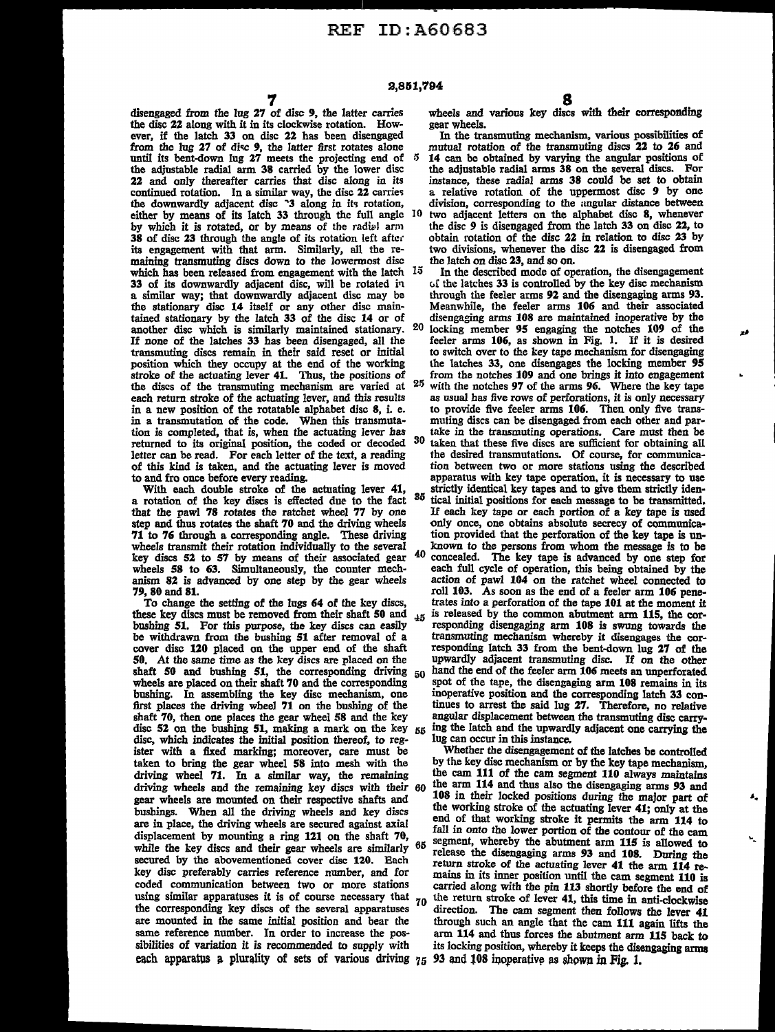disengaged from the lug 27 of disc 9, the latter carries the disc 22 along with it in its clockwise rotation. However, if the latch 33 on disc 22 has been disengaged from the lug 27 of disc 9, the latter first rotates alone until its bent-down lug  $27$  meets the projecting end of  $5$ the adjustable radial arm 38 carried by the lower disc 22 and only thereafter carries that disc along in its continued rotation. In a similar way, the disc 22 carries the downwardly adjacent disc  $\degree$ 3 along in its rotation, either by means of its latch 33 through the full angle IO by which it is rotated, or by means of the radial arm 38 of disc 23 through the angle of its rotation left afte.· maining transmuting discs down to the lowermost disc which has been released from engagement with the latch 15 <sup>33</sup>of its downwardly adjacent disc, will be rotated i11 a similar way; that downwardly adjacent disc may be the stationary disc 14 itself or any other disc maintained stationary by the latch 33 of the disc 14 or of another disc which is similarly maintained stationary. If none of the latches 33 has been disengaged, all the transmuting discs remain in their said reset or initial position which they occupy at the end of the working stroke of the actuating lever 41. Thus, the positions of the discs of the transmuting mechanism are varied at each return stroke of the actuating lever, and this results in a new position of the rotatable alphabet disc 8, i. e. in a transmutation of the code. When this transmutation is completed, that is, when the actuating lever has returned to its original position, the coded or decoded 30 letter can be read. For each letter of the text, a reading of this kind is taken, and the actuating lever is moved to and fro once before every reading.

With each double stroke of the actuating lever 41, a rotation of the key discs is effected due to the fact that the pawl 78 rotates the ratchet wheel 77 by one step and thus rotates the shaft 70 and the driving wheels 71 to 76 through a corresponding angle. These driving wheels transmit their rotation individually to the several key discs 52 to 57 by means of their associated gear wheels 58 to 63. Simultaneously, the counter mechanism 82 is advanced by one step by the gear wheels 79, 80 and 81.

To change the setting of the lugs 64 of the key discs, these key discs must be removed from their shaft 50 and bushing 51. For this purpose, the key discs can easily be withdrawn from the bushing 51 after removal of a cover disc 120 placed on the upper end of the shaft 50. At the same time as the key discs are placed on the shaft 50 and bushing 51, the corresponding driving  $50$ wheels are placed on their shaft 70 and the corresponding bushing. In assembling the key disc mechanism, one first places the driving wheel  $71$  on the bushing of the shaft 70, then one places the gear wheel 58 and the key disc 52 on the bushing 51, making a mark on the key  $55$ disc, which indicates the initial position thereof, to register with a fixed marking; moreover, care must be taken to bring the gear wheel 58 into mesh with the driving wheel 71. In a similar way, the remaining driving wheels and the remaining key discs with their 60 gear wheels are mounted on their respective shafts and bushings. When all the driving wheels and key discs are in place, the driving wheels are secured against axial displacement by mounting a ring 121 on the shaft 70, while the key discs and their gear wheels are similarly 65 secured by the abovementioned cover disc 120. Each key disc preferably carries reference number, and for coded communication between two or more stations using similar apparatuses it is of course necessary that 70 the corresponding key discs of the several apparatuses are mounted in the same initial position and bear the same reference number. In order to increase the possibilities of variation it is recommended to supply with each apparatus a plurality of sets of various driving 75 93 and 108 inoperative as shown in Fig. 1.

wheels and various key discs with their corresponding gear wheels.

In the transmuting mechanism, various possibilities of mutual rotation of the transmuting discs 22 to 26 and 14 can be obtained by varying the angular positions of

the adjustable radial arms 38 on the several discs. For instance, these radial arms 38 could be set to obtain<br>a relative rotation of the uppermost disc 9 by one division, corresponding to the angular distance between two adjacent letters on the alphabet disc 8, whenever the disc 9 is disengaged from the latch 33 on disc 22, to

obtain rotation of the disc 22 in relation to disc 23 by two divisions, whenever the disc 22 is disengaged from the latch on disc 23, and so on.

In the described mode of operation, the disengagement c,f the latches 33 is controlled by the key disc mechanism through the feeler arms 92 and the disengaging arms 93. Meanwhile, the feeler arms 106 and their associated disengaging arms 108 are maintained inoperative by the 20 locking member 95 engaging the notches 109 of the feeler arms 106, as shown in Fig. 1. If it is desired to switch over to the key tape mechanism for disengaging the latches 33, one disengages the locking member 95 from the notches 109 and one brings it into engagement

25 with the notches 97 of the arms 96. Where the key tape as usual has five rows of perforations, it is only necessary to provide five feeler arms 106. Then only five transmuting discs can be disengaged from each other and partake in the transmuting operations. Care must then be

taken that these five discs are sufficient for obtaining all the desired transmutations. Of course, for communication between two or more stations using the described apparatus with key tape operation, it is necessary to use strictly identical key tapes and to give them strictly iden-<br>35 tipel initial positions for each pecanon to be transmitted.

tical initial positions for each message to be transmitted. If each key tape or each portion of a key tape is used only once, one obtains absolute secrecy of communica· tion provided that the perforation of the key tape is unknown to the persons from whom the message is to be 40 concealed. The key tape is advanced by one step for each full cycle of operation, this being obtained by the action of pawl 104 on the ratchet wheel connected to roll 103. As soon as the end of a feeler arm 106 penetrates into a perforation of the tape 101 at the moment it is released by the common abutment arm 115, the cor- $45$  is released by the common abutment arm 115, the cor-<br>responding disengaging arm 108 is swung towards the transmuting mechanism whereby it disengages the corresponding latch 33 from the bent-down lug 27 of the upwardly adjacent transmuting disc. If on the other hand the end of the feeler arm 106 meets an unperforated spot of the tape, the disengaging arm 108 remains in its inoperative position and the corresponding latch 33 con- tinues to arrest the said lug 27. Therefore, no relative angular displacement between the transmuting disc carrying the latch and the upwardly adjacent one carrying the lug can occur in this instance.

Whether the disengagement of the latches be controlled by the key disc mechanism or by the key tape mechanism, the cam 111 of the cam segment 110 always maintains the arm 114 and thus also the disengaging arms 93 and 108 in their locked positions during the major part of the working stroke of the actuating lever 41; only at the end of that working stroke it permits the arm 114 to fall in onto the lower portion of the contour of the cam segment, whereby the abutment arm 115 is allowed to release the disengaging arms 93 and 108. During the return stroke of the actuating lever 41 the arm 114 remains in its inner position until the cam segment 110 is carried along with the pin 113 shortly before the end of the return stroke of lever 41, this time in anti-clockwise direction. The cam segment then follows the lever 41 through such an angle that the cam 111 again lifts the arm 114 and thus forces the abutment arm 115 back to its locking position, whereby it keeps the disengaging arms

۵.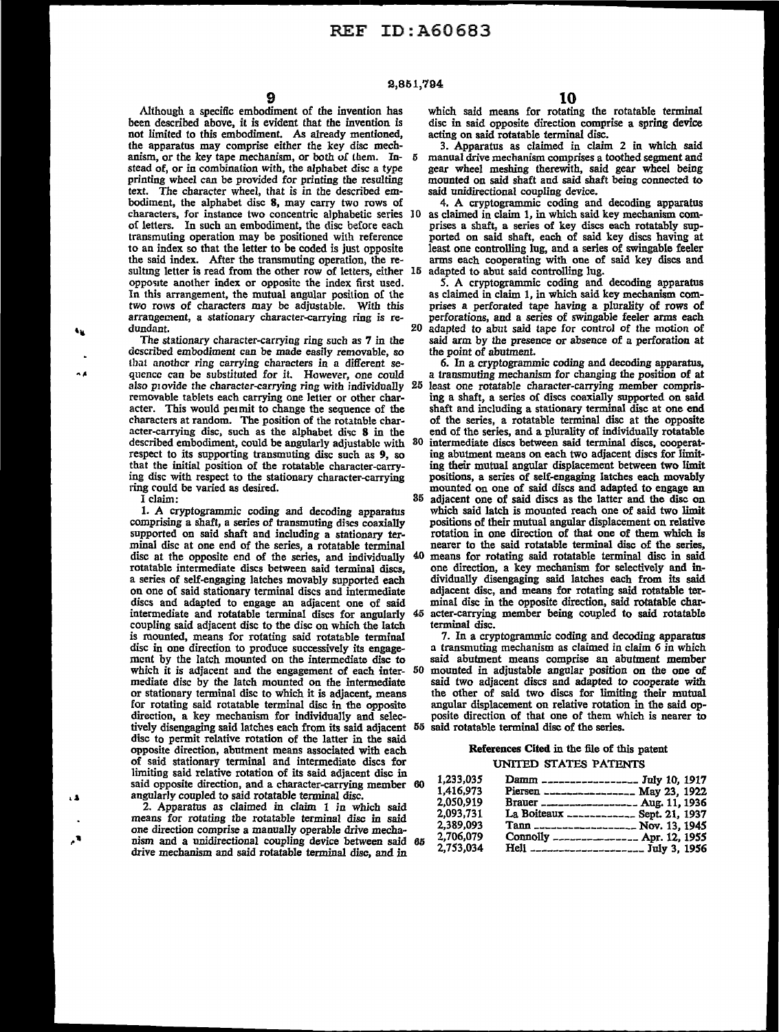Although a specific embodiment of the invention has been described above, it is evident that the invention is not limited to this embodiment. As already mentioned, the apparatus may comprise either the key disc mechanism, or the key tape mechanism, or both of lhem. Instead of, or in combination with, the alphabet disc a type printing wheel can be provided for printing the resulting text. The character wheel, that is in the described embodiment, the alphabet disc 8, may carry two rows of characters, for instance two concentric alphabetic series of letters. In such an embodiment, the disc before each transmuting operation may be positioned with reference to an index so that the letter to be coded is just opposite the said index. After the transmuting operation, the resulting letter is read from the other row of letters, either 15 opposite another index or opposite the index first used. In this arrangement, the mutual angular position of the two rows of characters may be adjustable. With this arrangement, a stationary character-carrying ring is redundant.

The stationary character-carrying ring such as 7 in the described embodiment can be made easily removable, so tbat another ring carrying characters in a different sequence can be substituted for it. However, one could also p1ovide the character-carrying ring with individually removable tablets each carrying one letter or other character. This would pe1mit to change the sequence of the characters at random. The position of the rotatable character-carrying disc, such as the alphabet disc  $8$  in the described embodiment, could be angularly adjustable with respect to its supporting transmuting disc such as 9, so that the initial position of the rotatable character-carrying disc with respect to the stationary character-carrying ring rould be varied as desired.

I claim:

1. A cryptogrammic coding and decoding apparatus comprising a shaft, a series of transmuting discs coaxially supported on said shaft and including a stationary terminal disc at one end of the series, a rotatable terminal disc at the opposite end of the series, and individually rotatable intermediate discs between said terminal discs, a series of self-engaging latches movably supported each on one of said stationary terminal discs and intermediate discs and adapted to engage an adjacent one of said intermediate and rotatable terminal discs for angularly coupling said adjacent disc to the disc on which the latch is mounted, means for rotating said rotatable terminal disc in one direction to produce successively its engagement *by* the latch mounted on the intermediate disc to which it is adjacent and the engagement of each intermediate disc by the latch mounted on the intermediate or stationary terminal disc to which it is adjacent, means for rotating said rotatable terminal disc in the opposite direction, a key mechanism for individually and selectively disengaging said latches each from its said adjacent 55 said rotatable terminal disc of the series. disc to permit relative rotation of the latter in the said opposite direction, abutment means associated with each of said stationary terminal and intermediate discs for limiting said relative rotation of its said acljacent disc in said opposite direction, and a character-carrying member 60 angularly coupled to said rotatable terminal disc.

2. Apparatus as claimed in claim 1 in which said means for rotating the rotatable terminal disc in said one direction comprise a manually operable drive mechanism and a unidirectional coupling device between said 65 drive mechanism and said rotatable terminal disc, and in

which said means for rotating the rotatable terminal disc in said opposite direction comprise a spring device acting on said rotatable terminal disc.

3. Apparatus as claimed in claim 2 in which said manual drive mechanism comprises a toothed segment and gear wheel meshing therewith, said gear wheel being mounted on said shaft and said shaft being connected to said unidirectional coupling device.

4. A cryptogrammic coding and decoding apparatus as claimed in claim 1, in which said key mechanism comprises a shaft, a series of key discs each rotatably supported on said shaft, each of said key discs having at least one controlling lug, and a series of swingable feeler arms each cooperating with one of said key discs and adapted to abut said controlling lug.

*5.* A cryptogrammic coding and decoding apparatus as claimed in claim 1, in which said key mechanism comprises a perforated tape having a plurality of rows of perforations, and a series of swingable feeler arms each 20 adapted to abut said tape for control of the motion of said arm by the presence or absence of a perforation at the point of abutment.

6. In a cryptogrammic coding and decoding apparatus, a transmuting mechanism for changing the position of at 25 least one rotatable character-carrying member comprising a shaft, a series of discs coaxially supported on said shaft and including a stationary terminal disc at one end of the series, a rotatable terminal disc at the opposite end of the series, and a plurality of individually rotatable 30 intermediate discs between said terminal discs, cooperating abutment means on each two adjacent discs for limiting their mutual angular displacement between two limit positions, a series of self-engaging latches each movably

35 adjacent one of said discs as the latter and the disc on which said latch is mounted reach one of said two limit positions of their mutual angular displacement on relative rotation in one direction of that one of them which is nearer to the said rotatable terminal disc of the series,

40 means for rotating said rotatable terminal disc in said one direction, a key mechanism for selectively and individually disengaging said latches each from its said adjacent disc, and means for rotating said rotatable terminal disc in the opposite direction, said rotatable character-carrying member being coupled to said rotatable

terminal disc.

7. In a cryptogrammic coding and decoding apparatus a transmuting mechanism as claimed in claim 6 in which said abutment means comprise an abutment member 50 mounted in adjustable angular position on the one of said two adjacent discs and adapted to cooperate with the other of said two discs for limiting their mutual angular displacement on relative rotation in the said opposite direction of that one of them which is nearer to

#### References Cited in the file of this patent UNITED STATES PATENTS

| 1.233.035 | Damm _________________ July 10, 1917      |
|-----------|-------------------------------------------|
| 1.416.973 | Piersen ___________________ May 23, 1922  |
| 2,050,919 | Brauer ____________________ Aug. 11, 1936 |
| 2.093.731 | La Boiteaux _____________ Sept. 21, 1937  |
| 2.389.093 | Tann ____________________ Nov. 13, 1945   |
| 2,706,079 | Connolly _________________ Apr. 12, 1955  |
| 2.753.034 | Hell _____________________ July 3, 1956   |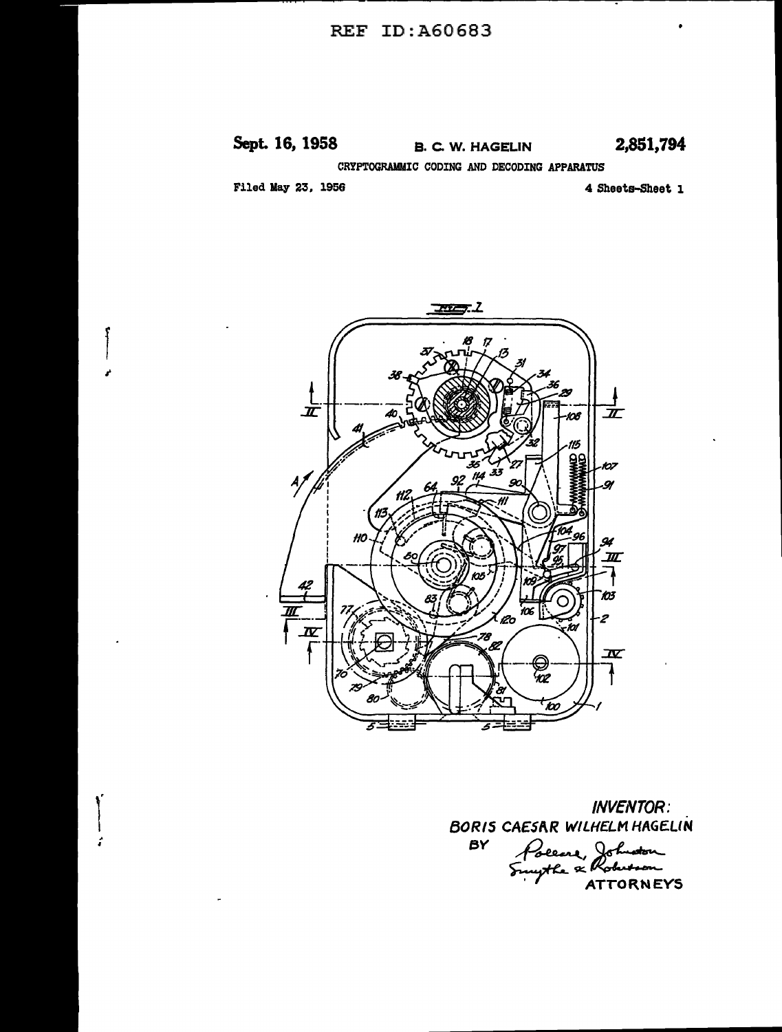## REF ID:A60683

# **Sept. 16, 1958** B. C. W. HAGELIN **2,851,794**

CRYPTOGRAMMIC CODING AND DECODING APPARATUS

Filed May 23, 1956

r

 $\vert$ 

 $\left| \begin{array}{c} \hline \hline \hline \hline \end{array} \right|$ 

4 Sheets-Sheet 1



INVENTOR: BORIS CAESAR WILHELM HAGELIN Poeene, Johnston *BY* 

 $~\cdot$  / ATTORNEYS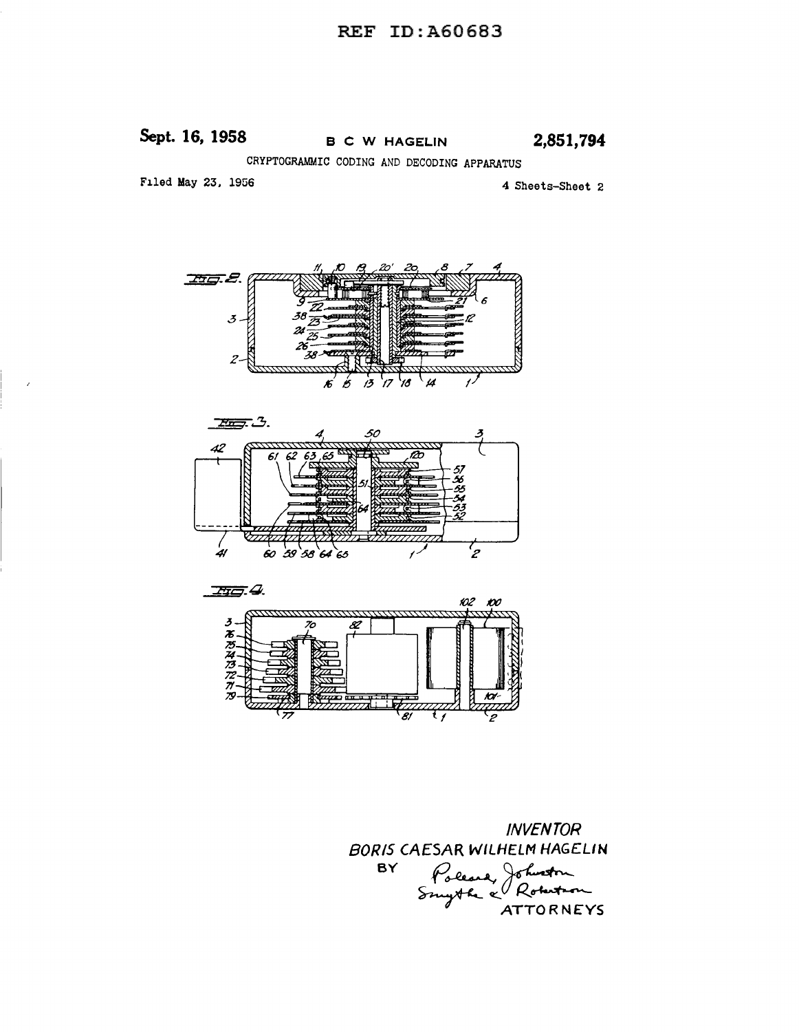# **Sept. 16, 1958** B CW HAGELIN **2,851,794**

CRYPTOGRAMMIC CODING AND DECODING APPARATUS

Filed May 23, 1956

4 Sheets-Sheet 2







INVENTOR BORIS CAESAR WILHELM HAG£LIN ESAR WILHELM HAGELIN<br>Poleare, Johnston<br>Smyth & Roberton **BY**